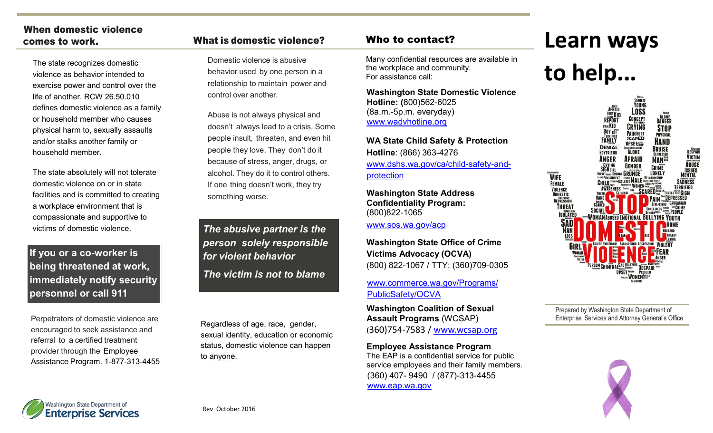## When domestic violence

The state recognizes domestic violence as behavior intended to exercise power and control over the life of another. RCW 26.50.010 defines domestic violence as a family or household member who causes physical harm to, sexually assaults and/or stalks another family or household member.

The state absolutely will not tolerate domestic violence on or in state facilities and is committed to creating a workplace environment that is compassionate and supportive to victims of domestic violence.

**If you or a co-worker is being threatened at work, immediately notify security personnel or call 911**

Perpetrators of domestic violence are encouraged to seek assistance and referral to a certified treatment provider through the Employee Assistance Program. 1-877-313-4455

#### comes to work. What is domestic violence? Who to contact?

Domestic violence is abusive behavior used by one person in a relationship to maintain power and control over another.

Abuse is not always physical and doesn't always lead to a crisis. Some people insult, threaten, and even hit people they love. They don't do it because of stress, anger, drugs, or alcohol. They do it to control others. If one thing doesn't work, they try something worse.

*The abusive partner is the person solely responsible for violent behavior The victim is not to blame*

Regardless of age, race, gender, sexual identity, education or economic status, domestic violence can happen to anyone.

Many confidential resources are available in the workplace and community. For assistance call:

**Washington State Domestic Violence Hotline: (**800)562-6025 (8a.m.-5p.m. everyday) [www.wadvhotline.org](http://www.wadvhotline.org/) 

**WA State Child Safety & Protection Hotline**: (866) 363-4276 [www.dshs.wa.gov/ca/child](https://www.dshs.wa.gov/ca/child-safety-and-protection)-safety-and[protection](https://www.dshs.wa.gov/ca/child-safety-and-protection)

**Washington State Address Confidentiality Program:**  (800)822-1065

[www.sos.wa.gov/acp](http://www.sos.wa.gov/acp/)

**Washington State Office of Crime Victims Advocacy (OCVA)** (800) 822-1067 / TTY: (360)709-0305

[www.commerce.wa.gov/Programs/](http://www.commerce.wa.gov/Programs/PublicSafety/OCVA/Pages/default.aspx) [PublicSafety/OCVA](http://www.commerce.wa.gov/Programs/PublicSafety/OCVA/Pages/default.aspx)

**Washington Coalition of Sexual Assault Programs** (WCSAP) (360)754-7583 / [www.wcsap.org](http://www.wcsap.org/)

**Employee Assistance Program**  The EAP is a confidential service for public service employees and their family members. (360) 407- 9490 / (877)-313-4455 [www.eap.wa.gov](http://des.wa.gov/services/HRPayroll/eap/Pages/default.aspx/HomeDirs.eclient.wa.lcl/DESHome$/colinh/CFD%202015)

# **Learn ways**

## **to help...**



Prepared by Washington State Department of Enterprise Services and Attorney General's Office